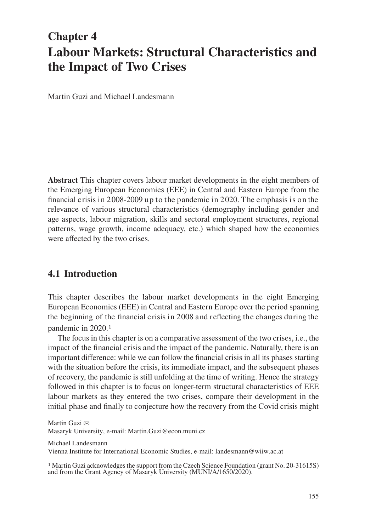# **Chapter 4 Labour Markets: Structural Characteristics and the Impact of Two Crises**

Martin Guzi and Michael Landesmann

**Abstract** This chapter covers labour market developments in the eight members of the Emerging European Economies (EEE) in Central and Eastern Europe from the financial c risis in 2008-2009 up to the pandemic in 2020. The emphasis is on the relevance of various structural characteristics (demography including gender and age aspects, labour migration, skills and sectoral employment structures, regional patterns, wage growth, income adequacy, etc.) which shaped how the economies were affected by the two crises.

# **4.1 Introduction**

This chapter describes the labour market developments in the eight Emerging European Economies (EEE) in Central and Eastern Europe over the period spanning the beginning of the financial crisis in 2008 and reflecting the changes during the pandemic in 2020.1

The focus in this chapter is on a comparative assessment of the two crises, i.e., the impact of the financial crisis and the impact of the pandemic. Naturally, there is an important difference: while we can follow the financial crisis in all its phases starting with the situation before the crisis, its immediate impact, and the subsequent phases of recovery, the pandemic is still unfolding at the time of writing. Hence the strategy followed in this chapter is to focus on longer-term structural characteristics of EEE labour markets as they entered the two crises, compare their development in the initial phase and finally to conjecture how the recovery from the Covid crisis might

Michael Landesmann

Vienna Institute for International Economic Studies, e-mail: landesmann@wiiw.ac.at

Martin Guzi  $\boxtimes$ 

Masaryk University, e-mail: Martin.Guzi@econ.muni.cz

<sup>&</sup>lt;sup>1</sup> Martin Guzi acknowledges the support from the Czech Science Foundation (grant No. 20-31615S) and from the Grant Agency of Masaryk University (MUNI/A/1650/2020).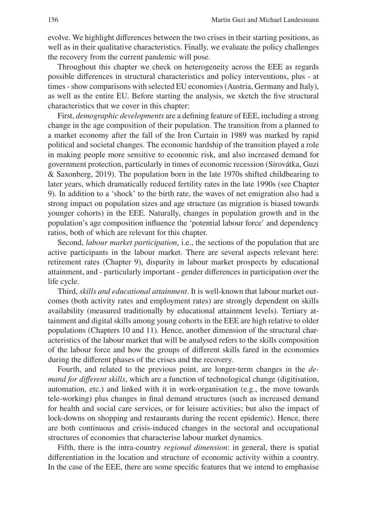evolve. We highlight differences between the two crises in their starting positions, as well as in their qualitative characteristics. Finally, we evaluate the policy challenges the recovery from the current pandemic will pose.

Throughout this chapter we check on heterogeneity across the EEE as regards possible differences in structural characteristics and policy interventions, plus - at times - show comparisons with selected EU economies (Austria, Germany and Italy), as well as the entire EU. Before starting the analysis, we sketch the five structural characteristics that we cover in this chapter:

First, *demographic developments* are a defining feature of EEE, including a strong change in the age composition of their population. The transition from a planned to a market economy after the fall of the Iron Curtain in 1989 was marked by rapid political and societal changes. The economic hardship of the transition played a role in making people more sensitive to economic risk, and also increased demand for government protection, particularly in times of economic recession (Sirovátka, Guzi & Saxonberg, 2019). The population born in the late 1970s shifted childbearing to later years, which dramatically reduced fertility rates in the late 1990s (see Chapter 9). In addition to a 'shock' to the birth rate, the waves of net emigration also had a strong impact on population sizes and age structure (as migration is biased towards younger cohorts) in the EEE. Naturally, changes in population growth and in the population's age composition influence the 'potential labour force' and dependency ratios, both of which are relevant for this chapter.

Second, *labour market participation*, i.e., the sections of the population that are active participants in the labour market. There are several aspects relevant here: retirement rates (Chapter 9), disparity in labour market prospects by educational attainment, and - particularly important - gender differences in participation over the life cycle.

Third, *skills and educational attainment*. It is well-known that labour market outcomes (both activity rates and employment rates) are strongly dependent on skills availability (measured traditionally by educational attainment levels). Tertiary attainment and digital skills among young cohorts in the EEE are high relative to older populations (Chapters 10 and 11). Hence, another dimension of the structural characteristics of the labour market that will be analysed refers to the skills composition of the labour force and how the groups of different skills fared in the economies during the different phases of the crises and the recovery.

Fourth, and related to the previous point, are longer-term changes in the *demand for different skills*, which are a function of technological change (digitisation, automation, etc.) and linked with it in work-organisation (e.g., the move towards tele-working) plus changes in final demand structures (such as increased demand for health and social care services, or for leisure activities; but also the impact of lock-downs on shopping and restaurants during the recent epidemic). Hence, there are both continuous and crisis-induced changes in the sectoral and occupational structures of economies that characterise labour market dynamics.

Fifth, there is the intra-country *regional dimension*: in general, there is spatial differentiation in the location and structure of economic activity within a country. In the case of the EEE, there are some specific features that we intend to emphasise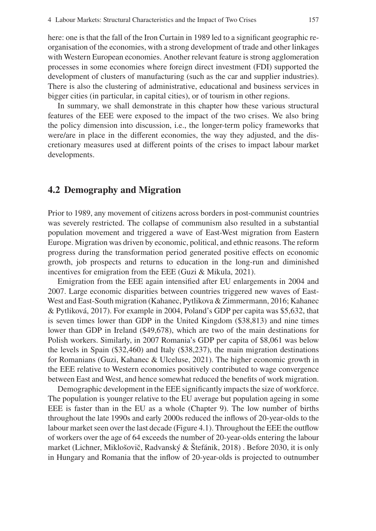here: one is that the fall of the Iron Curtain in 1989 led to a significant geographic reorganisation of the economies, with a strong development of trade and other linkages with Western European economies. Another relevant feature is strong agglomeration processes in some economies where foreign direct investment (FDI) supported the development of clusters of manufacturing (such as the car and supplier industries). There is also the clustering of administrative, educational and business services in bigger cities (in particular, in capital cities), or of tourism in other regions.

In summary, we shall demonstrate in this chapter how these various structural features of the EEE were exposed to the impact of the two crises. We also bring the policy dimension into discussion, i.e., the longer-term policy frameworks that were/are in place in the different economies, the way they adjusted, and the discretionary measures used at different points of the crises to impact labour market developments.

#### **4.2 Demography and Migration**

Prior to 1989, any movement of citizens across borders in post-communist countries was severely restricted. The collapse of communism also resulted in a substantial population movement and triggered a wave of East-West migration from Eastern Europe. Migration was driven by economic, political, and ethnic reasons. The reform progress during the transformation period generated positive effects on economic growth, job prospects and returns to education in the long-run and diminished incentives for emigration from the EEE (Guzi & Mikula, 2021).

Emigration from the EEE again intensified after EU enlargements in 2004 and 2007. Large economic disparities between countries triggered new waves of East-West and East-South migration (Kahanec, Pytlikova & Zimmermann, 2016; Kahanec & Pytliková, 2017). For example in 2004, Poland's GDP per capita was \$5,632, that is seven times lower than GDP in the United Kingdom (\$38,813) and nine times lower than GDP in Ireland (\$49,678), which are two of the main destinations for Polish workers. Similarly, in 2007 Romania's GDP per capita of \$8,061 was below the levels in Spain (\$32,460) and Italy (\$38,237), the main migration destinations for Romanians (Guzi, Kahanec & Ulceluse, 2021). The higher economic growth in the EEE relative to Western economies positively contributed to wage convergence between East and West, and hence somewhat reduced the benefits of work migration.

Demographic development in the EEE significantly impacts the size of workforce. The population is younger relative to the EU average but population ageing in some EEE is faster than in the EU as a whole (Chapter 9). The low number of births throughout the late 1990s and early 2000s reduced the inflows of 20-year-olds to the labour market seen over the last decade (Figure 4.1). Throughout the EEE the outflow of workers over the age of 64 exceeds the number of 20-year-olds entering the labour market (Lichner, Miklošovič, Radvanský  $\&$  Štefánik, 2018). Before 2030, it is only in Hungary and Romania that the inflow of 20-year-olds is projected to outnumber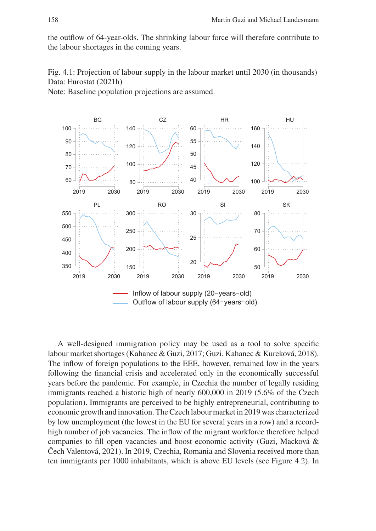the outflow of 64-year-olds. The shrinking labour force will therefore contribute to the labour shortages in the coming years.

Fig. 4.1: Projection of labour supply in the labour market until 2030 (in thousands) Data: Eurostat (2021h)

Note: Baseline population projections are assumed.



A well-designed immigration policy may be used as a tool to solve specific labour market shortages (Kahanec & Guzi, 2017; Guzi, Kahanec & Kureková, 2018). The inflow of foreign populations to the EEE, however, remained low in the years following the financial crisis and accelerated only in the economically successful years before the pandemic. For example, in Czechia the number of legally residing immigrants reached a historic high of nearly 600,000 in 2019 (5.6% of the Czech population). Immigrants are perceived to be highly entrepreneurial, contributing to economic growth and innovation. The Czech labour market in 2019 was characterized by low unemployment (the lowest in the EU for several years in a row) and a recordhigh number of job vacancies. The inflow of the migrant workforce therefore helped companies to fill open vacancies and boost economic activity (Guzi, Macková & Čech Valentová, 2021). In 2019, Czechia, Romania and Slovenia received more than ten immigrants per 1000 inhabitants, which is above EU levels (see Figure 4.2). In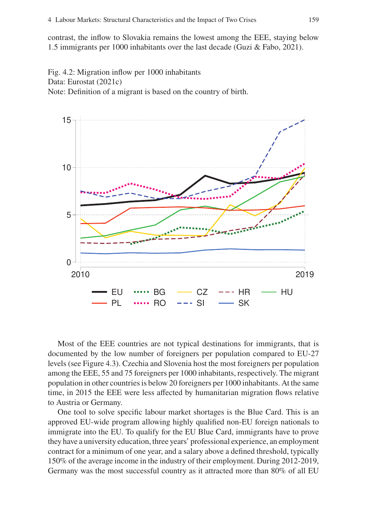contrast, the inflow to Slovakia remains the lowest among the EEE, staying below 1.5 immigrants per 1000 inhabitants over the last decade (Guzi & Fabo, 2021).

Fig. 4.2: Migration inflow per 1000 inhabitants Data: Eurostat (2021c) Note: Definition of a migrant is based on the country of birth.



Most of the EEE countries are not typical destinations for immigrants, that is documented by the low number of foreigners per population compared to EU-27 levels (see Figure 4.3). Czechia and Slovenia host the most foreigners per population among the EEE, 55 and 75 foreigners per 1000 inhabitants, respectively. The migrant population in other countries is below 20 foreigners per 1000 inhabitants. At the same time, in 2015 the EEE were less affected by humanitarian migration flows relative to Austria or Germany.

One tool to solve specific labour market shortages is the Blue Card. This is an approved EU-wide program allowing highly qualified non-EU foreign nationals to immigrate into the EU. To qualify for the EU Blue Card, immigrants have to prove they have a university education, three years' professional experience, an employment contract for a minimum of one year, and a salary above a defined threshold, typically 150% of the average income in the industry of their employment. During 2012-2019, Germany was the most successful country as it attracted more than 80% of all EU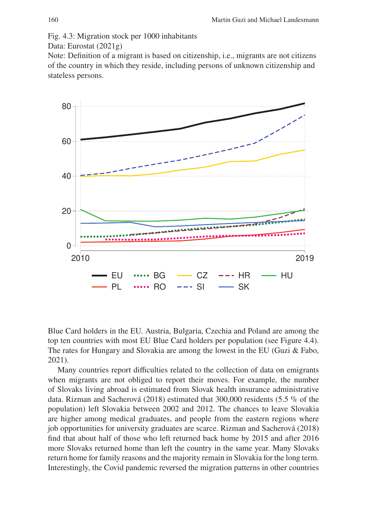Fig. 4.3: Migration stock per 1000 inhabitants

Data: Eurostat (2021g)

Note: Definition of a migrant is based on citizenship, i.e., migrants are not citizens of the country in which they reside, including persons of unknown citizenship and stateless persons.



Blue Card holders in the EU. Austria, Bulgaria, Czechia and Poland are among the top ten countries with most EU Blue Card holders per population (see Figure 4.4). The rates for Hungary and Slovakia are among the lowest in the EU (Guzi & Fabo, 2021).

Many countries report difficulties related to the collection of data on emigrants when migrants are not obliged to report their moves. For example, the number of Slovaks living abroad is estimated from Slovak health insurance administrative data. Rizman and Sacherová (2018) estimated that 300,000 residents (5.5 % of the population) left Slovakia between 2002 and 2012. The chances to leave Slovakia are higher among medical graduates, and people from the eastern regions where job opportunities for university graduates are scarce. Rizman and Sacherová (2018) find that about half of those who left returned back home by 2015 and after 2016 more Slovaks returned home than left the country in the same year. Many Slovaks return home for family reasons and the majority remain in Slovakia for the long term. Interestingly, the Covid pandemic reversed the migration patterns in other countries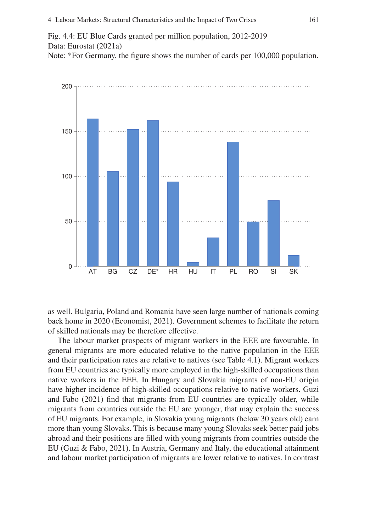Fig. 4.4: EU Blue Cards granted per million population, 2012-2019 Data: Eurostat (2021a) Note: \*For Germany, the figure shows the number of cards per 100,000 population.



as well. Bulgaria, Poland and Romania have seen large number of nationals coming back home in 2020 (Economist, 2021). Government schemes to facilitate the return of skilled nationals may be therefore effective.

The labour market prospects of migrant workers in the EEE are favourable. In general migrants are more educated relative to the native population in the EEE and their participation rates are relative to natives (see Table 4.1). Migrant workers from EU countries are typically more employed in the high-skilled occupations than native workers in the EEE. In Hungary and Slovakia migrants of non-EU origin have higher incidence of high-skilled occupations relative to native workers. Guzi and Fabo (2021) find that migrants from EU countries are typically older, while migrants from countries outside the EU are younger, that may explain the success of EU migrants. For example, in Slovakia young migrants (below 30 years old) earn more than young Slovaks. This is because many young Slovaks seek better paid jobs abroad and their positions are filled with young migrants from countries outside the EU (Guzi & Fabo, 2021). In Austria, Germany and Italy, the educational attainment and labour market participation of migrants are lower relative to natives. In contrast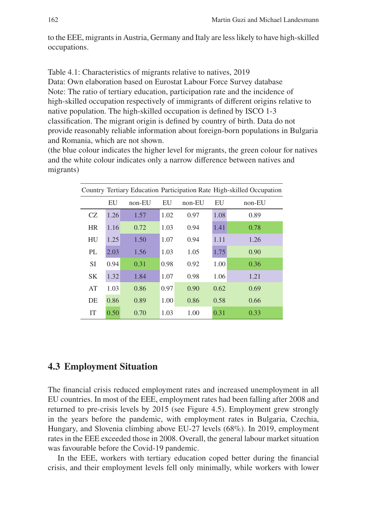to the EEE, migrants in Austria, Germany and Italy are less likely to have high-skilled occupations.

Table 4.1: Characteristics of migrants relative to natives, 2019 Data: Own elaboration based on Eurostat Labour Force Survey database Note: The ratio of tertiary education, participation rate and the incidence of high-skilled occupation respectively of immigrants of different origins relative to native population. The high-skilled occupation is defined by ISCO 1-3 classification. The migrant origin is defined by country of birth. Data do not provide reasonably reliable information about foreign-born populations in Bulgaria and Romania, which are not shown.

(the blue colour indicates the higher level for migrants, the green colour for natives and the white colour indicates only a narrow difference between natives and migrants)

| Country Tertiary Education Participation Rate High-skilled Occupation |      |          |      |          |      |        |
|-----------------------------------------------------------------------|------|----------|------|----------|------|--------|
|                                                                       | EU   | $non-EU$ | EU   | $non-EU$ | EU   | non-EU |
| CZ                                                                    | 1.26 | 1.57     | 1.02 | 0.97     | 1.08 | 0.89   |
| <b>HR</b>                                                             | 1.16 | 0.72     | 1.03 | 0.94     | 1.41 | 0.78   |
| HU                                                                    | 1.25 | 1.50     | 1.07 | 0.94     | 1.11 | 1.26   |
| PL                                                                    | 2.03 | 1.56     | 1.03 | 1.05     | 1.75 | 0.90   |
| <b>SI</b>                                                             | 0.94 | 0.31     | 0.98 | 0.92     | 1.00 | 0.36   |
| <b>SK</b>                                                             | 1.32 | 1.84     | 1.07 | 0.98     | 1.06 | 1.21   |
| AT                                                                    | 1.03 | 0.86     | 0.97 | 0.90     | 0.62 | 0.69   |
| DE                                                                    | 0.86 | 0.89     | 1.00 | 0.86     | 0.58 | 0.66   |
| <b>IT</b>                                                             | 0.50 | 0.70     | 1.03 | 1.00     | 0.31 | 0.33   |

## **4.3 Employment Situation**

The financial crisis reduced employment rates and increased unemployment in all EU countries. In most of the EEE, employment rates had been falling after 2008 and returned to pre-crisis levels by 2015 (see Figure 4.5). Employment grew strongly in the years before the pandemic, with employment rates in Bulgaria, Czechia, Hungary, and Slovenia climbing above EU-27 levels (68%). In 2019, employment rates in the EEE exceeded those in 2008. Overall, the general labour market situation was favourable before the Covid-19 pandemic.

In the EEE, workers with tertiary education coped better during the financial crisis, and their employment levels fell only minimally, while workers with lower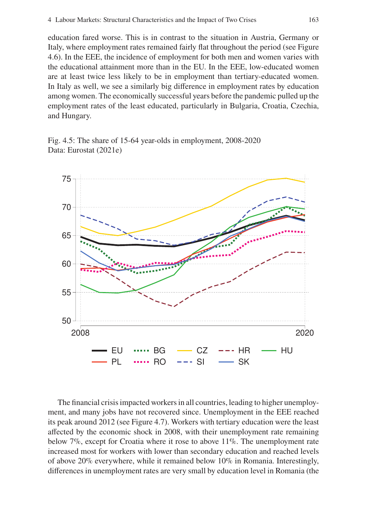education fared worse. This is in contrast to the situation in Austria, Germany or Italy, where employment rates remained fairly flat throughout the period (see Figure 4.6). In the EEE, the incidence of employment for both men and women varies with the educational attainment more than in the EU. In the EEE, low-educated women are at least twice less likely to be in employment than tertiary-educated women. In Italy as well, we see a similarly big difference in employment rates by education among women. The economically successful years before the pandemic pulled up the employment rates of the least educated, particularly in Bulgaria, Croatia, Czechia, and Hungary.

Fig. 4.5: The share of 15-64 year-olds in employment, 2008-2020 Data: Eurostat (2021e)



The financial crisis impacted workers in all countries, leading to higher unemployment, and many jobs have not recovered since. Unemployment in the EEE reached its peak around 2012 (see Figure 4.7). Workers with tertiary education were the least affected by the economic shock in 2008, with their unemployment rate remaining below 7%, except for Croatia where it rose to above 11%. The unemployment rate increased most for workers with lower than secondary education and reached levels of above 20% everywhere, while it remained below 10% in Romania. Interestingly, differences in unemployment rates are very small by education level in Romania (the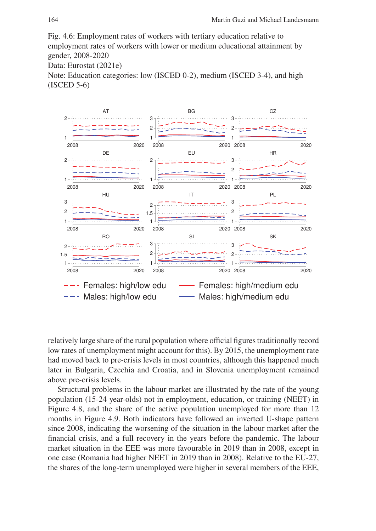Fig. 4.6: Employment rates of workers with tertiary education relative to employment rates of workers with lower or medium educational attainment by gender, 2008-2020

Data: Eurostat (2021e)

Note: Education categories: low (ISCED 0-2), medium (ISCED 3-4), and high (ISCED 5-6)



relatively large share of the rural population where official figures traditionally record low rates of unemployment might account for this). By 2015, the unemployment rate had moved back to pre-crisis levels in most countries, although this happened much later in Bulgaria, Czechia and Croatia, and in Slovenia unemployment remained above pre-crisis levels.

Structural problems in the labour market are illustrated by the rate of the young population (15-24 year-olds) not in employment, education, or training (NEET) in Figure 4.8, and the share of the active population unemployed for more than 12 months in Figure 4.9. Both indicators have followed an inverted U-shape pattern since 2008, indicating the worsening of the situation in the labour market after the financial crisis, and a full recovery in the years before the pandemic. The labour market situation in the EEE was more favourable in 2019 than in 2008, except in one case (Romania had higher NEET in 2019 than in 2008). Relative to the EU-27, the shares of the long-term unemployed were higher in several members of the EEE,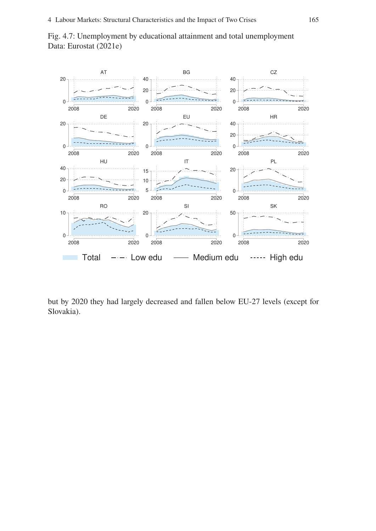



but by 2020 they had largely decreased and fallen below EU-27 levels (except for Slovakia).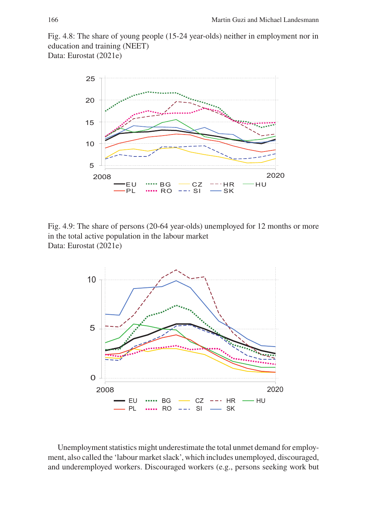Fig. 4.8: The share of young people (15-24 year-olds) neither in employment nor in education and training (NEET) Data: Eurostat (2021e)



Fig. 4.9: The share of persons (20-64 year-olds) unemployed for 12 months or more in the total active population in the labour market Data: Eurostat (2021e)



Unemployment statistics might underestimate the total unmet demand for employment, also called the 'labour market slack', which includes unemployed, discouraged, and underemployed workers. Discouraged workers (e.g., persons seeking work but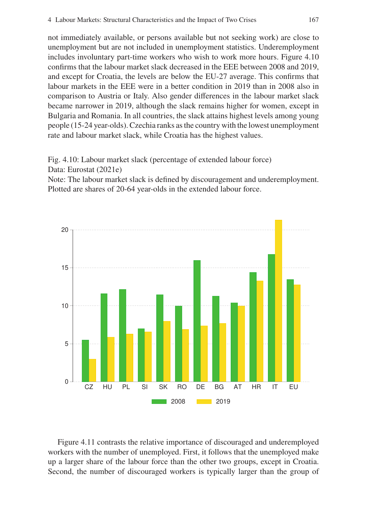not immediately available, or persons available but not seeking work) are close to unemployment but are not included in unemployment statistics. Underemployment includes involuntary part-time workers who wish to work more hours. Figure 4.10 confirms that the labour market slack decreased in the EEE between 2008 and 2019, and except for Croatia, the levels are below the EU-27 average. This confirms that labour markets in the EEE were in a better condition in 2019 than in 2008 also in comparison to Austria or Italy. Also gender differences in the labour market slack became narrower in 2019, although the slack remains higher for women, except in Bulgaria and Romania. In all countries, the slack attains highest levels among young people (15-24 year-olds). Czechia ranks as the country with the lowest unemployment rate and labour market slack, while Croatia has the highest values.

Fig. 4.10: Labour market slack (percentage of extended labour force) Data: Eurostat (2021e)

Note: The labour market slack is defined by discouragement and underemployment. Plotted are shares of 20-64 year-olds in the extended labour force.



Figure 4.11 contrasts the relative importance of discouraged and underemployed workers with the number of unemployed. First, it follows that the unemployed make up a larger share of the labour force than the other two groups, except in Croatia. Second, the number of discouraged workers is typically larger than the group of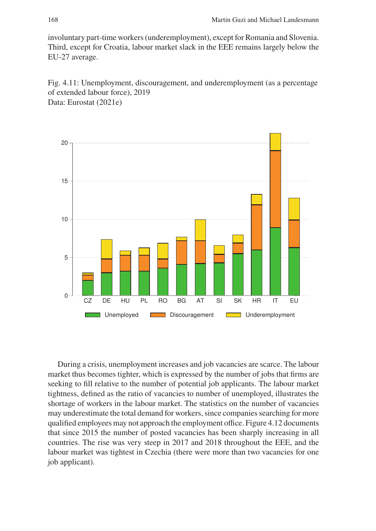involuntary part-time workers (underemployment), except for Romania and Slovenia. Third, except for Croatia, labour market slack in the EEE remains largely below the EU-27 average.

Fig. 4.11: Unemployment, discouragement, and underemployment (as a percentage of extended labour force), 2019 Data: Eurostat (2021e)



During a crisis, unemployment increases and job vacancies are scarce. The labour market thus becomes tighter, which is expressed by the number of jobs that firms are seeking to fill relative to the number of potential job applicants. The labour market tightness, defined as the ratio of vacancies to number of unemployed, illustrates the shortage of workers in the labour market. The statistics on the number of vacancies may underestimate the total demand for workers, since companies searching for more qualified employees may not approach the employment office. Figure 4.12 documents that since 2015 the number of posted vacancies has been sharply increasing in all countries. The rise was very steep in 2017 and 2018 throughout the EEE, and the labour market was tightest in Czechia (there were more than two vacancies for one job applicant).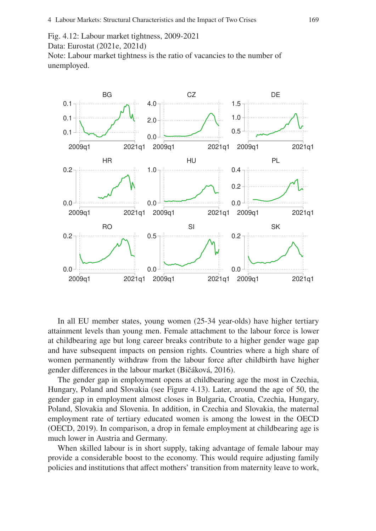Fig. 4.12: Labour market tightness, 2009-2021 Data: Eurostat (2021e, 2021d) Note: Labour market tightness is the ratio of vacancies to the number of unemployed.



In all EU member states, young women (25-34 year-olds) have higher tertiary attainment levels than young men. Female attachment to the labour force is lower at childbearing age but long career breaks contribute to a higher gender wage gap and have subsequent impacts on pension rights. Countries where a high share of women permanently withdraw from the labour force after childbirth have higher gender differences in the labour market (Bičáková, 2016).

The gender gap in employment opens at childbearing age the most in Czechia, Hungary, Poland and Slovakia (see Figure 4.13). Later, around the age of 50, the gender gap in employment almost closes in Bulgaria, Croatia, Czechia, Hungary, Poland, Slovakia and Slovenia. In addition, in Czechia and Slovakia, the maternal employment rate of tertiary educated women is among the lowest in the OECD (OECD, 2019). In comparison, a drop in female employment at childbearing age is much lower in Austria and Germany.

When skilled labour is in short supply, taking advantage of female labour may provide a considerable boost to the economy. This would require adjusting family policies and institutions that affect mothers' transition from maternity leave to work,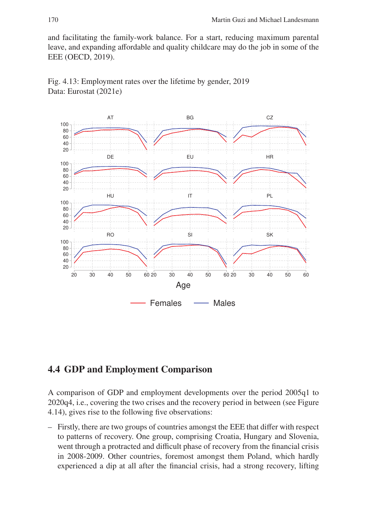and facilitating the family-work balance. For a start, reducing maximum parental leave, and expanding affordable and quality childcare may do the job in some of the EEE (OECD, 2019).



Fig. 4.13: Employment rates over the lifetime by gender, 2019 Data: Eurostat (2021e)

# **4.4 GDP and Employment Comparison**

A comparison of GDP and employment developments over the period 2005q1 to 2020q4, i.e., covering the two crises and the recovery period in between (see Figure 4.14), gives rise to the following five observations:

– Firstly, there are two groups of countries amongst the EEE that differ with respect to patterns of recovery. One group, comprising Croatia, Hungary and Slovenia, went through a protracted and difficult phase of recovery from the financial crisis in 2008-2009. Other countries, foremost amongst them Poland, which hardly experienced a dip at all after the financial crisis, had a strong recovery, lifting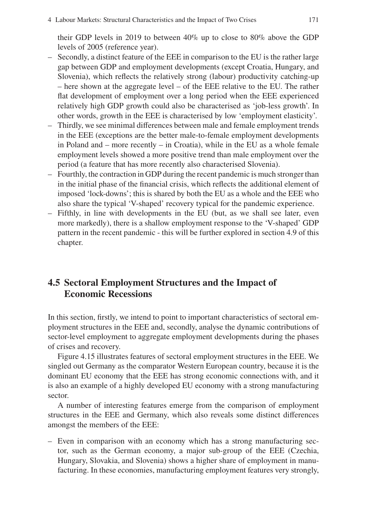their GDP levels in 2019 to between 40% up to close to 80% above the GDP levels of 2005 (reference year).

- Secondly, a distinct feature of the EEE in comparison to the EU is the rather large gap between GDP and employment developments (except Croatia, Hungary, and Slovenia), which reflects the relatively strong (labour) productivity catching-up – here shown at the aggregate level – of the EEE relative to the EU. The rather flat development of employment over a long period when the EEE experienced relatively high GDP growth could also be characterised as 'job-less growth'. In other words, growth in the EEE is characterised by low 'employment elasticity'.
- Thirdly, we see minimal differences between male and female employment trends in the EEE (exceptions are the better male-to-female employment developments in Poland and – more recently – in Croatia), while in the EU as a whole female employment levels showed a more positive trend than male employment over the period (a feature that has more recently also characterised Slovenia).
- Fourthly, the contraction in GDP during the recent pandemic is much stronger than in the initial phase of the financial crisis, which reflects the additional element of imposed 'lock-downs'; this is shared by both the EU as a whole and the EEE who also share the typical 'V-shaped' recovery typical for the pandemic experience.
- Fifthly, in line with developments in the EU (but, as we shall see later, even more markedly), there is a shallow employment response to the 'V-shaped' GDP pattern in the recent pandemic - this will be further explored in section 4.9 of this chapter.

# **4.5 Sectoral Employment Structures and the Impact of Economic Recessions**

In this section, firstly, we intend to point to important characteristics of sectoral employment structures in the EEE and, secondly, analyse the dynamic contributions of sector-level employment to aggregate employment developments during the phases of crises and recovery.

Figure 4.15 illustrates features of sectoral employment structures in the EEE. We singled out Germany as the comparator Western European country, because it is the dominant EU economy that the EEE has strong economic connections with, and it is also an example of a highly developed EU economy with a strong manufacturing sector.

A number of interesting features emerge from the comparison of employment structures in the EEE and Germany, which also reveals some distinct differences amongst the members of the EEE:

– Even in comparison with an economy which has a strong manufacturing sector, such as the German economy, a major sub-group of the EEE (Czechia, Hungary, Slovakia, and Slovenia) shows a higher share of employment in manufacturing. In these economies, manufacturing employment features very strongly,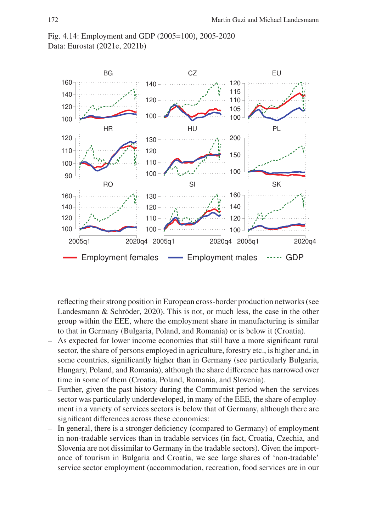



reflecting their strong position in European cross-border production networks (see Landesmann & Schröder, 2020). This is not, or much less, the case in the other group within the EEE, where the employment share in manufacturing is similar to that in Germany (Bulgaria, Poland, and Romania) or is below it (Croatia).

- As expected for lower income economies that still have a more significant rural sector, the share of persons employed in agriculture, forestry etc., is higher and, in some countries, significantly higher than in Germany (see particularly Bulgaria, Hungary, Poland, and Romania), although the share difference has narrowed over time in some of them (Croatia, Poland, Romania, and Slovenia).
- Further, given the past history during the Communist period when the services sector was particularly underdeveloped, in many of the EEE, the share of employment in a variety of services sectors is below that of Germany, although there are significant differences across these economies:
- In general, there is a stronger deficiency (compared to Germany) of employment in non-tradable services than in tradable services (in fact, Croatia, Czechia, and Slovenia are not dissimilar to Germany in the tradable sectors). Given the importance of tourism in Bulgaria and Croatia, we see large shares of 'non-tradable' service sector employment (accommodation, recreation, food services are in our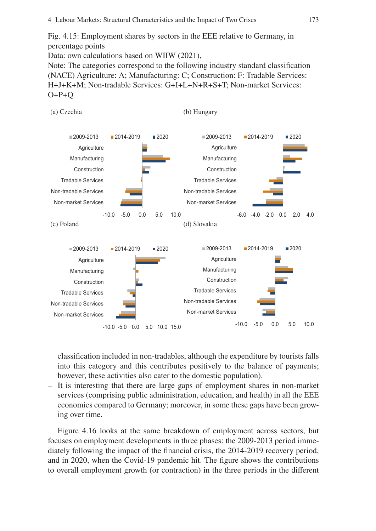Fig. 4.15: Employment shares by sectors in the EEE relative to Germany, in percentage points

Data: own calculations based on WIIW (2021),

Note: The categories correspond to the following industry standard classification (NACE) Agriculture: A; Manufacturing: C; Construction: F: Tradable Services: H+J+K+M; Non-tradable Services: G+I+L+N+R+S+T; Non-market Services:  $O+P+O$ 



classification included in non-tradables, although the expenditure by tourists falls into this category and this contributes positively to the balance of payments; however, these activities also cater to the domestic population).

– It is interesting that there are large gaps of employment shares in non-market services (comprising public administration, education, and health) in all the EEE economies compared to Germany; moreover, in some these gaps have been growing over time.

Figure 4.16 looks at the same breakdown of employment across sectors, but focuses on employment developments in three phases: the 2009-2013 period immediately following the impact of the financial crisis, the 2014-2019 recovery period, and in 2020, when the Covid-19 pandemic hit. The figure shows the contributions to overall employment growth (or contraction) in the three periods in the different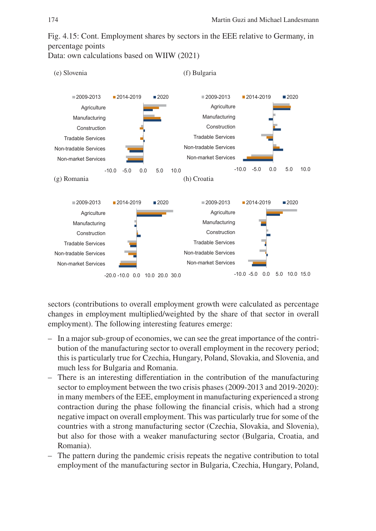Fig. 4.15: Cont. Employment shares by sectors in the EEE relative to Germany, in percentage points

Data: own calculations based on WIIW (2021)



sectors (contributions to overall employment growth were calculated as percentage changes in employment multiplied/weighted by the share of that sector in overall employment). The following interesting features emerge:

- In a major sub-group of economies, we can see the great importance of the contribution of the manufacturing sector to overall employment in the recovery period; this is particularly true for Czechia, Hungary, Poland, Slovakia, and Slovenia, and much less for Bulgaria and Romania.
- There is an interesting differentiation in the contribution of the manufacturing sector to employment between the two crisis phases (2009-2013 and 2019-2020): in many members of the EEE, employment in manufacturing experienced a strong contraction during the phase following the financial crisis, which had a strong negative impact on overall employment. This was particularly true for some of the countries with a strong manufacturing sector (Czechia, Slovakia, and Slovenia), but also for those with a weaker manufacturing sector (Bulgaria, Croatia, and Romania).
- The pattern during the pandemic crisis repeats the negative contribution to total employment of the manufacturing sector in Bulgaria, Czechia, Hungary, Poland,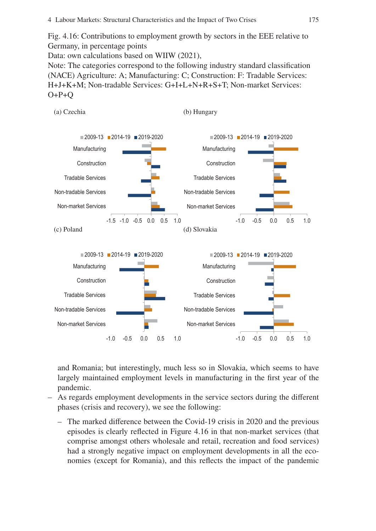Fig. 4.16: Contributions to employment growth by sectors in the EEE relative to Germany, in percentage points

Data: own calculations based on WIIW (2021),

Note: The categories correspond to the following industry standard classification (NACE) Agriculture: A; Manufacturing: C; Construction: F: Tradable Services: H+J+K+M; Non-tradable Services: G+I+L+N+R+S+T; Non-market Services:  $O+P+O$ 



and Romania; but interestingly, much less so in Slovakia, which seems to have largely maintained employment levels in manufacturing in the first year of the pandemic.

- As regards employment developments in the service sectors during the different phases (crisis and recovery), we see the following:
	- The marked difference between the Covid-19 crisis in 2020 and the previous episodes is clearly reflected in Figure 4.16 in that non-market services (that comprise amongst others wholesale and retail, recreation and food services) had a strongly negative impact on employment developments in all the economies (except for Romania), and this reflects the impact of the pandemic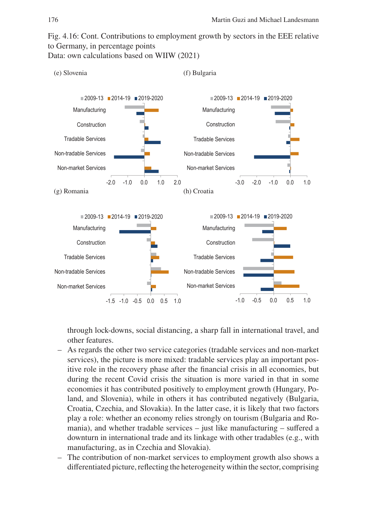Fig. 4.16: Cont. Contributions to employment growth by sectors in the EEE relative to Germany, in percentage points

Data: own calculations based on WIIW (2021)



through lock-downs, social distancing, a sharp fall in international travel, and other features.

- As regards the other two service categories (tradable services and non-market services), the picture is more mixed: tradable services play an important positive role in the recovery phase after the financial crisis in all economies, but during the recent Covid crisis the situation is more varied in that in some economies it has contributed positively to employment growth (Hungary, Poland, and Slovenia), while in others it has contributed negatively (Bulgaria, Croatia, Czechia, and Slovakia). In the latter case, it is likely that two factors play a role: whether an economy relies strongly on tourism (Bulgaria and Romania), and whether tradable services – just like manufacturing – suffered a downturn in international trade and its linkage with other tradables (e.g., with manufacturing, as in Czechia and Slovakia).
- The contribution of non-market services to employment growth also shows a differentiated picture, reflecting the heterogeneity within the sector, comprising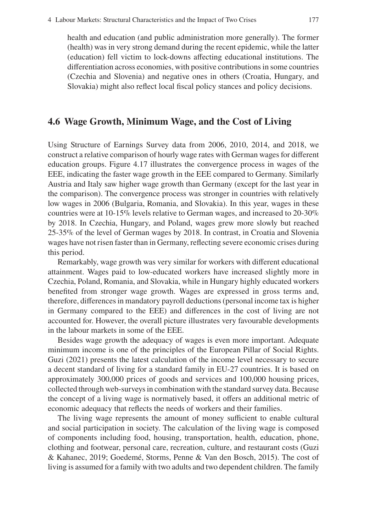health and education (and public administration more generally). The former (health) was in very strong demand during the recent epidemic, while the latter (education) fell victim to lock-downs affecting educational institutions. The differentiation across economies, with positive contributions in some countries (Czechia and Slovenia) and negative ones in others (Croatia, Hungary, and Slovakia) might also reflect local fiscal policy stances and policy decisions.

## **4.6 Wage Growth, Minimum Wage, and the Cost of Living**

Using Structure of Earnings Survey data from 2006, 2010, 2014, and 2018, we construct a relative comparison of hourly wage rates with German wages for different education groups. Figure 4.17 illustrates the convergence process in wages of the EEE, indicating the faster wage growth in the EEE compared to Germany. Similarly Austria and Italy saw higher wage growth than Germany (except for the last year in the comparison). The convergence process was stronger in countries with relatively low wages in 2006 (Bulgaria, Romania, and Slovakia). In this year, wages in these countries were at 10-15% levels relative to German wages, and increased to 20-30% by 2018. In Czechia, Hungary, and Poland, wages grew more slowly but reached 25-35% of the level of German wages by 2018. In contrast, in Croatia and Slovenia wages have not risen faster than in Germany, reflecting severe economic crises during this period.

Remarkably, wage growth was very similar for workers with different educational attainment. Wages paid to low-educated workers have increased slightly more in Czechia, Poland, Romania, and Slovakia, while in Hungary highly educated workers benefited from stronger wage growth. Wages are expressed in gross terms and, therefore, differences in mandatory payroll deductions (personal income tax is higher in Germany compared to the EEE) and differences in the cost of living are not accounted for. However, the overall picture illustrates very favourable developments in the labour markets in some of the EEE.

Besides wage growth the adequacy of wages is even more important. Adequate minimum income is one of the principles of the European Pillar of Social Rights. Guzi (2021) presents the latest calculation of the income level necessary to secure a decent standard of living for a standard family in EU-27 countries. It is based on approximately 300,000 prices of goods and services and 100,000 housing prices, collected through web-surveys in combination with the standard survey data. Because the concept of a living wage is normatively based, it offers an additional metric of economic adequacy that reflects the needs of workers and their families.

The living wage represents the amount of money sufficient to enable cultural and social participation in society. The calculation of the living wage is composed of components including food, housing, transportation, health, education, phone, clothing and footwear, personal care, recreation, culture, and restaurant costs (Guzi & Kahanec, 2019; Goedemé, Storms, Penne & Van den Bosch, 2015). The cost of living is assumed for a family with two adults and two dependent children. The family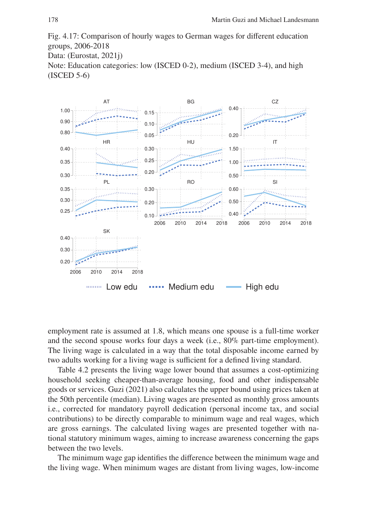Fig. 4.17: Comparison of hourly wages to German wages for different education groups, 2006-2018 Data: (Eurostat, 2021j) Note: Education categories: low (ISCED 0-2), medium (ISCED 3-4), and high (ISCED 5-6)



employment rate is assumed at 1.8, which means one spouse is a full-time worker and the second spouse works four days a week (i.e., 80% part-time employment). The living wage is calculated in a way that the total disposable income earned by two adults working for a living wage is sufficient for a defined living standard.

Table 4.2 presents the living wage lower bound that assumes a cost-optimizing household seeking cheaper-than-average housing, food and other indispensable goods or services. Guzi (2021) also calculates the upper bound using prices taken at the 50th percentile (median). Living wages are presented as monthly gross amounts i.e., corrected for mandatory payroll dedication (personal income tax, and social contributions) to be directly comparable to minimum wage and real wages, which are gross earnings. The calculated living wages are presented together with national statutory minimum wages, aiming to increase awareness concerning the gaps between the two levels.

The minimum wage gap identifies the difference between the minimum wage and the living wage. When minimum wages are distant from living wages, low-income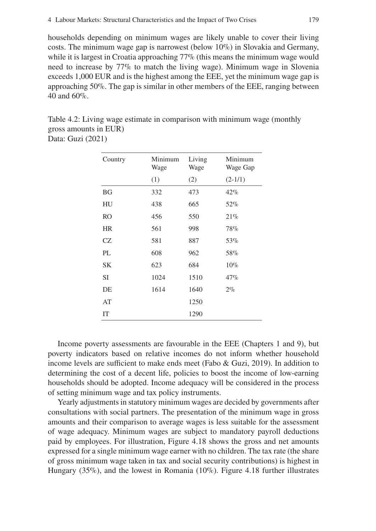households depending on minimum wages are likely unable to cover their living costs. The minimum wage gap is narrowest (below 10%) in Slovakia and Germany, while it is largest in Croatia approaching 77% (this means the minimum wage would need to increase by 77% to match the living wage). Minimum wage in Slovenia exceeds 1,000 EUR and is the highest among the EEE, yet the minimum wage gap is approaching 50%. The gap is similar in other members of the EEE, ranging between 40 and 60%.

Table 4.2: Living wage estimate in comparison with minimum wage (monthly gross amounts in EUR)

Data: Guzi (2021)

| Country   | Minimum<br>Wage | Living<br>Wage | Minimum<br>Wage Gap |
|-----------|-----------------|----------------|---------------------|
|           | (1)             | (2)            | $(2-1/1)$           |
| <b>BG</b> | 332             | 473            | 42%                 |
| HU        | 438             | 665            | 52%                 |
| <b>RO</b> | 456             | 550            | 21%                 |
| <b>HR</b> | 561             | 998            | 78%                 |
| CZ        | 581             | 887            | 53%                 |
| PL        | 608             | 962            | 58%                 |
| <b>SK</b> | 623             | 684            | 10%                 |
| <b>SI</b> | 1024            | 1510           | 47%                 |
| DE        | 1614            | 1640           | $2\%$               |
| AT        |                 | 1250           |                     |
| IT        |                 | 1290           |                     |

Income poverty assessments are favourable in the EEE (Chapters 1 and 9), but poverty indicators based on relative incomes do not inform whether household income levels are sufficient to make ends meet (Fabo & Guzi, 2019). In addition to determining the cost of a decent life, policies to boost the income of low-earning households should be adopted. Income adequacy will be considered in the process of setting minimum wage and tax policy instruments.

Yearly adjustments in statutory minimum wages are decided by governments after consultations with social partners. The presentation of the minimum wage in gross amounts and their comparison to average wages is less suitable for the assessment of wage adequacy. Minimum wages are subject to mandatory payroll deductions paid by employees. For illustration, Figure 4.18 shows the gross and net amounts expressed for a single minimum wage earner with no children. The tax rate (the share of gross minimum wage taken in tax and social security contributions) is highest in Hungary (35%), and the lowest in Romania (10%). Figure 4.18 further illustrates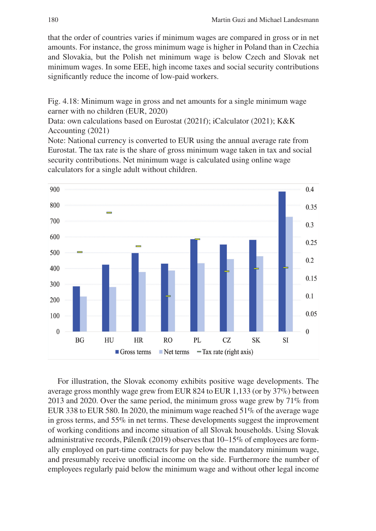that the order of countries varies if minimum wages are compared in gross or in net amounts. For instance, the gross minimum wage is higher in Poland than in Czechia and Slovakia, but the Polish net minimum wage is below Czech and Slovak net minimum wages. In some EEE, high income taxes and social security contributions significantly reduce the income of low-paid workers.

Fig. 4.18: Minimum wage in gross and net amounts for a single minimum wage earner with no children (EUR, 2020)

Data: own calculations based on Eurostat (2021f); iCalculator (2021); K&K Accounting (2021)

Note: National currency is converted to EUR using the annual average rate from Eurostat. The tax rate is the share of gross minimum wage taken in tax and social security contributions. Net minimum wage is calculated using online wage calculators for a single adult without children.



For illustration, the Slovak economy exhibits positive wage developments. The average gross monthly wage grew from EUR 824 to EUR 1,133 (or by 37%) between 2013 and 2020. Over the same period, the minimum gross wage grew by 71% from EUR 338 to EUR 580. In 2020, the minimum wage reached 51% of the average wage in gross terms, and 55% in net terms. These developments suggest the improvement of working conditions and income situation of all Slovak households. Using Slovak administrative records, Páleník (2019) observes that 10–15% of employees are formally employed on part-time contracts for pay below the mandatory minimum wage, and presumably receive unofficial income on the side. Furthermore the number of employees regularly paid below the minimum wage and without other legal income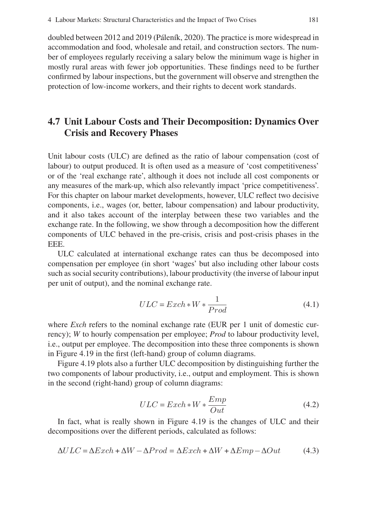doubled between 2012 and 2019 (Páleník, 2020). The practice is more widespread in accommodation and food, wholesale and retail, and construction sectors. The number of employees regularly receiving a salary below the minimum wage is higher in mostly rural areas with fewer job opportunities. These findings need to be further confirmed by labour inspections, but the government will observe and strengthen the protection of low-income workers, and their rights to decent work standards.

# **4.7 Unit Labour Costs and Their Decomposition: Dynamics Over Crisis and Recovery Phases**

Unit labour costs (ULC) are defined as the ratio of labour compensation (cost of labour) to output produced. It is often used as a measure of 'cost competitiveness' or of the 'real exchange rate', although it does not include all cost components or any measures of the mark-up, which also relevantly impact 'price competitiveness'. For this chapter on labour market developments, however, ULC reflect two decisive components, i.e., wages (or, better, labour compensation) and labour productivity, and it also takes account of the interplay between these two variables and the exchange rate. In the following, we show through a decomposition how the different components of ULC behaved in the pre-crisis, crisis and post-crisis phases in the EEE.

ULC calculated at international exchange rates can thus be decomposed into compensation per employee (in short 'wages' but also including other labour costs such as social security contributions), labour productivity (the inverse of labour input per unit of output), and the nominal exchange rate.

$$
ULC = Exch * W * \frac{1}{Prod}
$$
\n(4.1)

where *Exch* refers to the nominal exchange rate (EUR per 1 unit of domestic currency); *W* to hourly compensation per employee; *Prod* to labour productivity level, i.e., output per employee. The decomposition into these three components is shown in Figure 4.19 in the first (left-hand) group of column diagrams.

Figure 4.19 plots also a further ULC decomposition by distinguishing further the two components of labour productivity, i.e., output and employment. This is shown in the second (right-hand) group of column diagrams:

$$
ULC = Exch * W * \frac{Emp}{Out}
$$
\n(4.2)

In fact, what is really shown in Figure 4.19 is the changes of ULC and their decompositions over the different periods, calculated as follows:

$$
\Delta ULC = \Delta Exch + \Delta W - \Delta Prod = \Delta Exch + \Delta W + \Delta Emp - \Delta Out \tag{4.3}
$$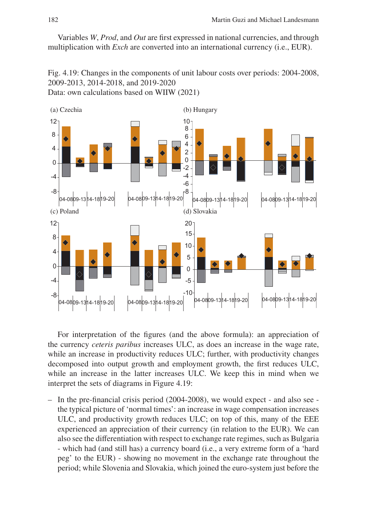Variables *W*, *Prod*, and *Out* are first expressed in national currencies, and through multiplication with *Exch* are converted into an international currency (i.e., EUR).

Fig. 4.19: Changes in the components of unit labour costs over periods: 2004-2008, 2009-2013, 2014-2018, and 2019-2020 Data: own calculations based on WIIW (2021)



For interpretation of the figures (and the above formula): an appreciation of the currency *ceteris paribus* increases ULC, as does an increase in the wage rate, while an increase in productivity reduces ULC; further, with productivity changes decomposed into output growth and employment growth, the first reduces ULC, while an increase in the latter increases ULC. We keep this in mind when we interpret the sets of diagrams in Figure 4.19:

– In the pre-financial crisis period (2004-2008), we would expect - and also see the typical picture of 'normal times': an increase in wage compensation increases ULC, and productivity growth reduces ULC; on top of this, many of the EEE experienced an appreciation of their currency (in relation to the EUR). We can also see the differentiation with respect to exchange rate regimes, such as Bulgaria - which had (and still has) a currency board (i.e., a very extreme form of a 'hard peg' to the EUR) - showing no movement in the exchange rate throughout the period; while Slovenia and Slovakia, which joined the euro-system just before the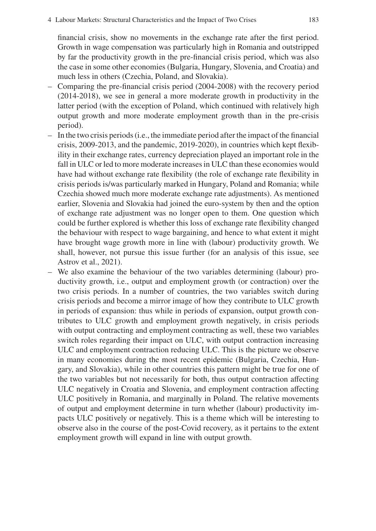financial crisis, show no movements in the exchange rate after the first period. Growth in wage compensation was particularly high in Romania and outstripped by far the productivity growth in the pre-financial crisis period, which was also the case in some other economies (Bulgaria, Hungary, Slovenia, and Croatia) and much less in others (Czechia, Poland, and Slovakia).

- Comparing the pre-financial crisis period (2004-2008) with the recovery period (2014-2018), we see in general a more moderate growth in productivity in the latter period (with the exception of Poland, which continued with relatively high output growth and more moderate employment growth than in the pre-crisis period).
- In the two crisis periods (i.e., the immediate period after the impact of the financial crisis, 2009-2013, and the pandemic, 2019-2020), in countries which kept flexibility in their exchange rates, currency depreciation played an important role in the fall in ULC or led to more moderate increases in ULC than these economies would have had without exchange rate flexibility (the role of exchange rate flexibility in crisis periods is/was particularly marked in Hungary, Poland and Romania; while Czechia showed much more moderate exchange rate adjustments). As mentioned earlier, Slovenia and Slovakia had joined the euro-system by then and the option of exchange rate adjustment was no longer open to them. One question which could be further explored is whether this loss of exchange rate flexibility changed the behaviour with respect to wage bargaining, and hence to what extent it might have brought wage growth more in line with (labour) productivity growth. We shall, however, not pursue this issue further (for an analysis of this issue, see Astrov et al., 2021).
- We also examine the behaviour of the two variables determining (labour) productivity growth, i.e., output and employment growth (or contraction) over the two crisis periods. In a number of countries, the two variables switch during crisis periods and become a mirror image of how they contribute to ULC growth in periods of expansion: thus while in periods of expansion, output growth contributes to ULC growth and employment growth negatively, in crisis periods with output contracting and employment contracting as well, these two variables switch roles regarding their impact on ULC, with output contraction increasing ULC and employment contraction reducing ULC. This is the picture we observe in many economies during the most recent epidemic (Bulgaria, Czechia, Hungary, and Slovakia), while in other countries this pattern might be true for one of the two variables but not necessarily for both, thus output contraction affecting ULC negatively in Croatia and Slovenia, and employment contraction affecting ULC positively in Romania, and marginally in Poland. The relative movements of output and employment determine in turn whether (labour) productivity impacts ULC positively or negatively. This is a theme which will be interesting to observe also in the course of the post-Covid recovery, as it pertains to the extent employment growth will expand in line with output growth.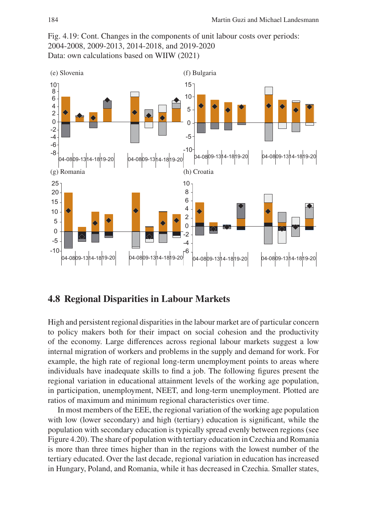Fig. 4.19: Cont. Changes in the components of unit labour costs over periods: 2004-2008, 2009-2013, 2014-2018, and 2019-2020 Data: own calculations based on WIIW (2021)



#### **4.8 Regional Disparities in Labour Markets**

High and persistent regional disparities in the labour market are of particular concern to policy makers both for their impact on social cohesion and the productivity of the economy. Large differences across regional labour markets suggest a low internal migration of workers and problems in the supply and demand for work. For example, the high rate of regional long-term unemployment points to areas where individuals have inadequate skills to find a job. The following figures present the regional variation in educational attainment levels of the working age population, in participation, unemployment, NEET, and long-term unemployment. Plotted are ratios of maximum and minimum regional characteristics over time.

In most members of the EEE, the regional variation of the working age population with low (lower secondary) and high (tertiary) education is significant, while the population with secondary education is typically spread evenly between regions (see Figure 4.20). The share of population with tertiary education in Czechia and Romania is more than three times higher than in the regions with the lowest number of the tertiary educated. Over the last decade, regional variation in education has increased in Hungary, Poland, and Romania, while it has decreased in Czechia. Smaller states,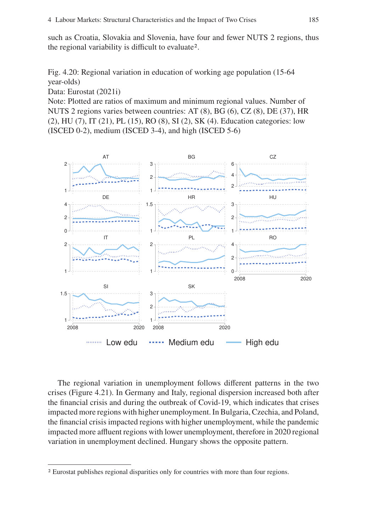such as Croatia, Slovakia and Slovenia, have four and fewer NUTS 2 regions, thus the regional variability is difficult to evaluate2.

Fig. 4.20: Regional variation in education of working age population (15-64 year-olds)

Data: Eurostat (2021i)

Note: Plotted are ratios of maximum and minimum regional values. Number of NUTS 2 regions varies between countries: AT (8), BG (6), CZ (8), DE (37), HR (2), HU (7), IT (21), PL (15), RO (8), SI (2), SK (4). Education categories: low (ISCED 0-2), medium (ISCED 3-4), and high (ISCED 5-6)



The regional variation in unemployment follows different patterns in the two crises (Figure 4.21). In Germany and Italy, regional dispersion increased both after the financial crisis and during the outbreak of Covid-19, which indicates that crises impacted more regions with higher unemployment. In Bulgaria, Czechia, and Poland, the financial crisis impacted regions with higher unemployment, while the pandemic impacted more affluent regions with lower unemployment, therefore in 2020 regional variation in unemployment declined. Hungary shows the opposite pattern.

<sup>2</sup> Eurostat publishes regional disparities only for countries with more than four regions.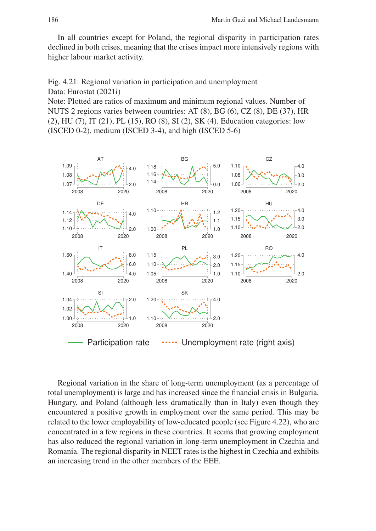In all countries except for Poland, the regional disparity in participation rates declined in both crises, meaning that the crises impact more intensively regions with higher labour market activity.

Fig. 4.21: Regional variation in participation and unemployment Data: Eurostat (2021i)

Note: Plotted are ratios of maximum and minimum regional values. Number of NUTS 2 regions varies between countries: AT (8), BG (6), CZ (8), DE (37), HR (2), HU (7), IT (21), PL (15), RO (8), SI (2), SK (4). Education categories: low (ISCED 0-2), medium (ISCED 3-4), and high (ISCED 5-6)



Regional variation in the share of long-term unemployment (as a percentage of total unemployment) is large and has increased since the financial crisis in Bulgaria, Hungary, and Poland (although less dramatically than in Italy) even though they encountered a positive growth in employment over the same period. This may be related to the lower employability of low-educated people (see Figure 4.22), who are concentrated in a few regions in these countries. It seems that growing employment has also reduced the regional variation in long-term unemployment in Czechia and Romania. The regional disparity in NEET rates is the highest in Czechia and exhibits an increasing trend in the other members of the EEE.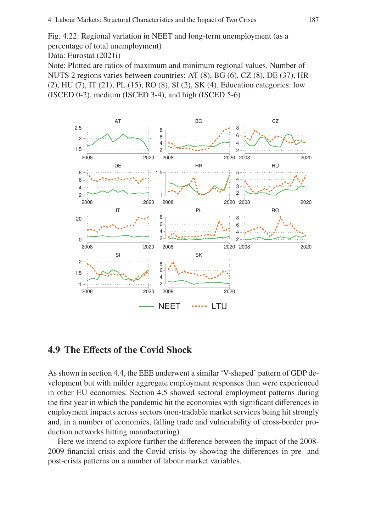Fig. 4.22: Regional variation in NEET and long-term unemployment (as a percentage of total unemployment)

Data: Eurostat (2021i)

Note: Plotted are ratios of maximum and minimum regional values. Number of NUTS 2 regions varies between countries: AT (8), BG (6), CZ (8), DE (37), HR (2), HU (7), IT (21), PL (15), RO (8), SI (2), SK (4). Education categories: low (ISCED 0-2), medium (ISCED 3-4), and high (ISCED 5-6)



# **4.9 The Effects of the Covid Shock**

As shown in section 4.4, the EEE underwent a similar 'V-shaped' pattern of GDP development but with milder aggregate employment responses than were experienced in other EU economies. Section 4.5 showed sectoral employment patterns during the first year in which the pandemic hit the economies with significant differences in employment impacts across sectors (non-tradable market services being hit strongly and, in a number of economies, falling trade and vulnerability of cross-border production networks hitting manufacturing).

Here we intend to explore further the difference between the impact of the 2008- 2009 financial crisis and the Covid crisis by showing the differences in pre- and post-crisis patterns on a number of labour market variables.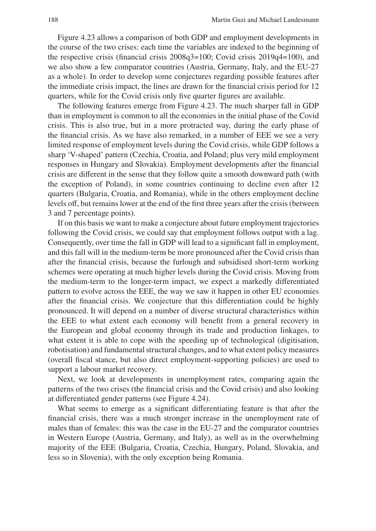Figure 4.23 allows a comparison of both GDP and employment developments in the course of the two crises: each time the variables are indexed to the beginning of the respective crisis (financial crisis 2008q3=100; Covid crisis 2019q4=100), and we also show a few comparator countries (Austria, Germany, Italy, and the EU-27 as a whole). In order to develop some conjectures regarding possible features after the immediate crisis impact, the lines are drawn for the financial crisis period for 12 quarters, while for the Covid crisis only five quarter figures are available.

The following features emerge from Figure 4.23. The much sharper fall in GDP than in employment is common to all the economies in the initial phase of the Covid crisis. This is also true, but in a more protracted way, during the early phase of the financial crisis. As we have also remarked, in a number of EEE we see a very limited response of employment levels during the Covid crisis, while GDP follows a sharp 'V-shaped' pattern (Czechia, Croatia, and Poland; plus very mild employment responses in Hungary and Slovakia). Employment developments after the financial crisis are different in the sense that they follow quite a smooth downward path (with the exception of Poland), in some countries continuing to decline even after 12 quarters (Bulgaria, Croatia, and Romania), while in the others employment decline levels off, but remains lower at the end of the first three years after the crisis (between 3 and 7 percentage points).

If on this basis we want to make a conjecture about future employment trajectories following the Covid crisis, we could say that employment follows output with a lag. Consequently, over time the fall in GDP will lead to a significant fall in employment, and this fall will in the medium-term be more pronounced after the Covid crisis than after the financial crisis, because the furlough and subsidised short-term working schemes were operating at much higher levels during the Covid crisis. Moving from the medium-term to the longer-term impact, we expect a markedly differentiated pattern to evolve across the EEE, the way we saw it happen in other EU economies after the financial crisis. We conjecture that this differentiation could be highly pronounced. It will depend on a number of diverse structural characteristics within the EEE to what extent each economy will benefit from a general recovery in the European and global economy through its trade and production linkages, to what extent it is able to cope with the speeding up of technological (digitisation, robotisation) and fundamental structural changes, and to what extent policy measures (overall fiscal stance, but also direct employment-supporting policies) are used to support a labour market recovery.

Next, we look at developments in unemployment rates, comparing again the patterns of the two crises (the financial crisis and the Covid crisis) and also looking at differentiated gender patterns (see Figure 4.24).

What seems to emerge as a significant differentiating feature is that after the financial crisis, there was a much stronger increase in the unemployment rate of males than of females: this was the case in the EU-27 and the comparator countries in Western Europe (Austria, Germany, and Italy), as well as in the overwhelming majority of the EEE (Bulgaria, Croatia, Czechia, Hungary, Poland, Slovakia, and less so in Slovenia), with the only exception being Romania.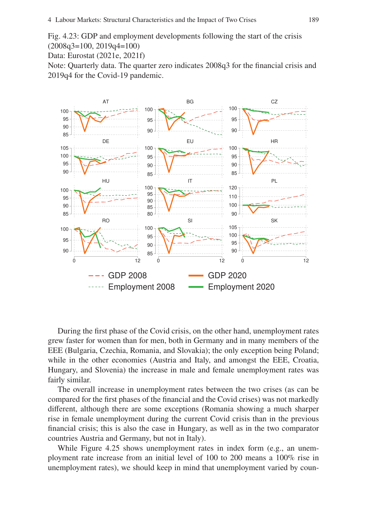Fig. 4.23: GDP and employment developments following the start of the crisis (2008q3=100, 2019q4=100)

Data: Eurostat (2021e, 2021f)

Note: Quarterly data. The quarter zero indicates 2008q3 for the financial crisis and 2019q4 for the Covid-19 pandemic.



During the first phase of the Covid crisis, on the other hand, unemployment rates grew faster for women than for men, both in Germany and in many members of the EEE (Bulgaria, Czechia, Romania, and Slovakia); the only exception being Poland; while in the other economies (Austria and Italy, and amongst the EEE, Croatia, Hungary, and Slovenia) the increase in male and female unemployment rates was fairly similar.

The overall increase in unemployment rates between the two crises (as can be compared for the first phases of the financial and the Covid crises) was not markedly different, although there are some exceptions (Romania showing a much sharper rise in female unemployment during the current Covid crisis than in the previous financial crisis; this is also the case in Hungary, as well as in the two comparator countries Austria and Germany, but not in Italy).

While Figure 4.25 shows unemployment rates in index form (e.g., an unemployment rate increase from an initial level of 100 to 200 means a 100% rise in unemployment rates), we should keep in mind that unemployment varied by coun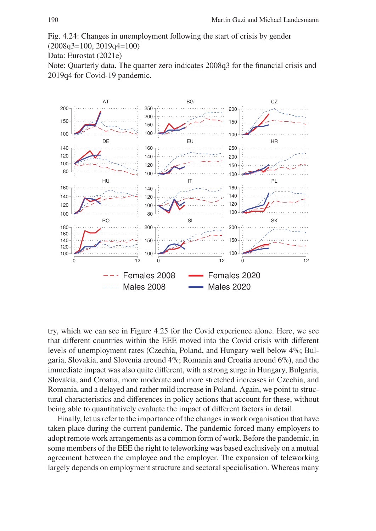Fig. 4.24: Changes in unemployment following the start of crisis by gender

(2008q3=100, 2019q4=100)

Data: Eurostat (2021e)

Note: Quarterly data. The quarter zero indicates 2008q3 for the financial crisis and 2019q4 for Covid-19 pandemic.



try, which we can see in Figure 4.25 for the Covid experience alone. Here, we see that different countries within the EEE moved into the Covid crisis with different levels of unemployment rates (Czechia, Poland, and Hungary well below 4%; Bulgaria, Slovakia, and Slovenia around 4%; Romania and Croatia around 6%), and the immediate impact was also quite different, with a strong surge in Hungary, Bulgaria, Slovakia, and Croatia, more moderate and more stretched increases in Czechia, and Romania, and a delayed and rather mild increase in Poland. Again, we point to structural characteristics and differences in policy actions that account for these, without being able to quantitatively evaluate the impact of different factors in detail.

Finally, let us refer to the importance of the changes in work organisation that have taken place during the current pandemic. The pandemic forced many employers to adopt remote work arrangements as a common form of work. Before the pandemic, in some members of the EEE the right to teleworking was based exclusively on a mutual agreement between the employee and the employer. The expansion of teleworking largely depends on employment structure and sectoral specialisation. Whereas many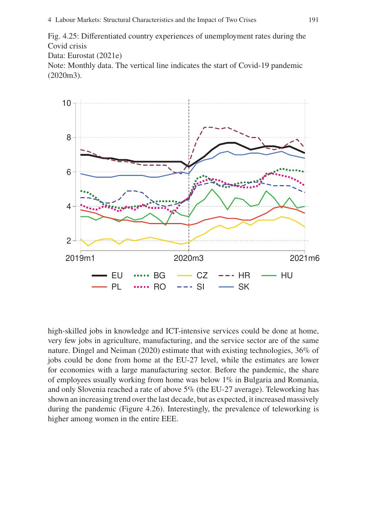Fig. 4.25: Differentiated country experiences of unemployment rates during the Covid crisis

Data: Eurostat (2021e)

Note: Monthly data. The vertical line indicates the start of Covid-19 pandemic (2020m3).



high-skilled jobs in knowledge and ICT-intensive services could be done at home, very few jobs in agriculture, manufacturing, and the service sector are of the same nature. Dingel and Neiman (2020) estimate that with existing technologies, 36% of jobs could be done from home at the EU-27 level, while the estimates are lower for economies with a large manufacturing sector. Before the pandemic, the share of employees usually working from home was below 1% in Bulgaria and Romania, and only Slovenia reached a rate of above 5% (the EU-27 average). Teleworking has shown an increasing trend over the last decade, but as expected, it increased massively during the pandemic (Figure 4.26). Interestingly, the prevalence of teleworking is higher among women in the entire EEE.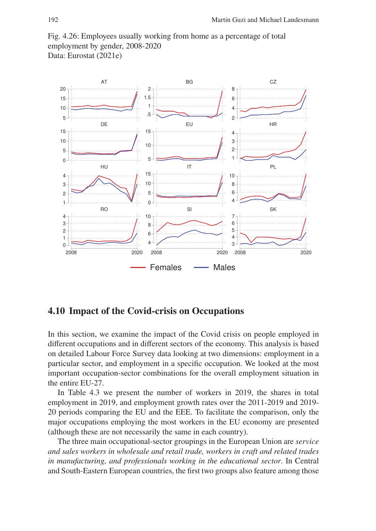Fig. 4.26: Employees usually working from home as a percentage of total employment by gender, 2008-2020 Data: Eurostat (2021e)



#### **4.10 Impact of the Covid-crisis on Occupations**

In this section, we examine the impact of the Covid crisis on people employed in different occupations and in different sectors of the economy. This analysis is based on detailed Labour Force Survey data looking at two dimensions: employment in a particular sector, and employment in a specific occupation. We looked at the most important occupation-sector combinations for the overall employment situation in the entire EU-27.

In Table 4.3 we present the number of workers in 2019, the shares in total employment in 2019, and employment growth rates over the 2011-2019 and 2019- 20 periods comparing the EU and the EEE. To facilitate the comparison, only the major occupations employing the most workers in the EU economy are presented (although these are not necessarily the same in each country).

The three main occupational-sector groupings in the European Union are *service and sales workers in wholesale and retail trade, workers in craft and related trades in manufacturing, and professionals working in the educational sector*. In Central and South-Eastern European countries, the first two groups also feature among those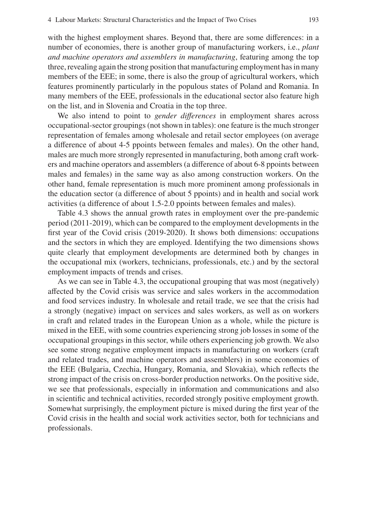with the highest employment shares. Beyond that, there are some differences: in a number of economies, there is another group of manufacturing workers, i.e., *plant and machine operators and assemblers in manufacturing*, featuring among the top three, revealing again the strong position that manufacturing employment has in many members of the EEE; in some, there is also the group of agricultural workers, which features prominently particularly in the populous states of Poland and Romania. In many members of the EEE, professionals in the educational sector also feature high on the list, and in Slovenia and Croatia in the top three.

We also intend to point to *gender differences* in employment shares across occupational-sector groupings (not shown in tables): one feature is the much stronger representation of females among wholesale and retail sector employees (on average a difference of about 4-5 ppoints between females and males). On the other hand, males are much more strongly represented in manufacturing, both among craft workers and machine operators and assemblers (a difference of about 6-8 ppoints between males and females) in the same way as also among construction workers. On the other hand, female representation is much more prominent among professionals in the education sector (a difference of about 5 ppoints) and in health and social work activities (a difference of about 1.5-2.0 ppoints between females and males).

Table 4.3 shows the annual growth rates in employment over the pre-pandemic period (2011-2019), which can be compared to the employment developments in the first year of the Covid crisis (2019-2020). It shows both dimensions: occupations and the sectors in which they are employed. Identifying the two dimensions shows quite clearly that employment developments are determined both by changes in the occupational mix (workers, technicians, professionals, etc.) and by the sectoral employment impacts of trends and crises.

As we can see in Table 4.3, the occupational grouping that was most (negatively) affected by the Covid crisis was service and sales workers in the accommodation and food services industry. In wholesale and retail trade, we see that the crisis had a strongly (negative) impact on services and sales workers, as well as on workers in craft and related trades in the European Union as a whole, while the picture is mixed in the EEE, with some countries experiencing strong job losses in some of the occupational groupings in this sector, while others experiencing job growth. We also see some strong negative employment impacts in manufacturing on workers (craft and related trades, and machine operators and assemblers) in some economies of the EEE (Bulgaria, Czechia, Hungary, Romania, and Slovakia), which reflects the strong impact of the crisis on cross-border production networks. On the positive side, we see that professionals, especially in information and communications and also in scientific and technical activities, recorded strongly positive employment growth. Somewhat surprisingly, the employment picture is mixed during the first year of the Covid crisis in the health and social work activities sector, both for technicians and professionals.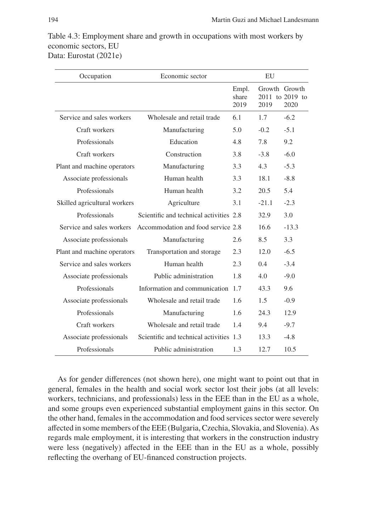| Occupation                   | Economic sector                         | EU                     |                       |                         |
|------------------------------|-----------------------------------------|------------------------|-----------------------|-------------------------|
|                              |                                         | Empl.<br>share<br>2019 | Growth Growth<br>2019 | 2011 to 2019 to<br>2020 |
| Service and sales workers    | Wholesale and retail trade              | 6.1                    | 1.7                   | $-6.2$                  |
| Craft workers                | Manufacturing                           | 5.0                    | $-0.2$                | $-5.1$                  |
| Professionals                | Education                               | 4.8                    | 7.8                   | 9.2                     |
| Craft workers                | Construction                            | 3.8                    | $-3.8$                | $-6.0$                  |
| Plant and machine operators  | Manufacturing                           | 3.3                    | 4.3                   | $-5.3$                  |
| Associate professionals      | Human health                            | 3.3                    | 18.1                  | $-8.8$                  |
| Professionals                | Human health                            | 3.2                    | 20.5                  | 5.4                     |
| Skilled agricultural workers | Agriculture                             | 3.1                    | $-21.1$               | $-2.3$                  |
| Professionals                | Scientific and technical activities 2.8 |                        | 32.9                  | 3.0                     |
| Service and sales workers    | Accommodation and food service 2.8      |                        | 16.6                  | $-13.3$                 |
| Associate professionals      | Manufacturing                           | 2.6                    | 8.5                   | 3.3                     |
| Plant and machine operators  | Transportation and storage              | 2.3                    | 12.0                  | $-6.5$                  |
| Service and sales workers    | Human health                            | 2.3                    | 0.4                   | $-3.4$                  |
| Associate professionals      | Public administration                   | 1.8                    | 4.0                   | $-9.0$                  |
| Professionals                | Information and communication           | 1.7                    | 43.3                  | 9.6                     |
| Associate professionals      | Wholesale and retail trade              | 1.6                    | 1.5                   | $-0.9$                  |
| Professionals                | Manufacturing                           | 1.6                    | 24.3                  | 12.9                    |
| Craft workers                | Wholesale and retail trade              | 1.4                    | 9.4                   | $-9.7$                  |
| Associate professionals      | Scientific and technical activities 1.3 |                        | 13.3                  | $-4.8$                  |
| Professionals                | Public administration                   | 1.3                    | 12.7                  | 10.5                    |

Table 4.3: Employment share and growth in occupations with most workers by economic sectors, EU Data: Eurostat (2021e)

As for gender differences (not shown here), one might want to point out that in general, females in the health and social work sector lost their jobs (at all levels: workers, technicians, and professionals) less in the EEE than in the EU as a whole, and some groups even experienced substantial employment gains in this sector. On the other hand, females in the accommodation and food services sector were severely affected in some members of the EEE (Bulgaria, Czechia, Slovakia, and Slovenia). As regards male employment, it is interesting that workers in the construction industry were less (negatively) affected in the EEE than in the EU as a whole, possibly reflecting the overhang of EU-financed construction projects.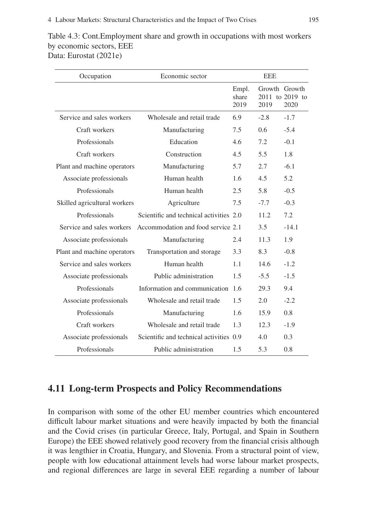$\overline{a}$ 

 $\overline{a}$ 

L

| CCONONING SCCIOIS, LLL<br>ta: Eurostat (2021e) |                            |                        |               |                                          |  |
|------------------------------------------------|----------------------------|------------------------|---------------|------------------------------------------|--|
| Occupation                                     | Economic sector            |                        | <b>EEE</b>    |                                          |  |
|                                                |                            | Empl.<br>share<br>2019 | 2019          | Growth Growth<br>2011 to 2019 to<br>2020 |  |
| Service and sales workers                      | Wholesale and retail trade | 6.9                    | $-2.8$        | $-1.7$                                   |  |
| Craft workers                                  | Manufacturing              | 7.5                    | $0.6^{\circ}$ | $-5.4$                                   |  |
| Professionals                                  | Education                  | 4.6                    | 7.2           | $-0.1$                                   |  |
| Craft workers                                  | Construction               | 4.5                    | 5.5           | 1.8                                      |  |
| Plant and machine operators                    | Manufacturing              | 5.7                    | 2.7           | $-6.1$                                   |  |
| Associate professionals                        | Human health               | 1.6                    | 4.5           | 5.2                                      |  |

Table 4.3: Cont.Employment share and growth in occupations with most workers by economic sectors, EEE Dat

| Craft workers                | Manufacturing                           | 7.5 | 0.6    | $-5.4$  |
|------------------------------|-----------------------------------------|-----|--------|---------|
| Professionals                | Education                               | 4.6 | 7.2    | $-0.1$  |
| Craft workers                | Construction                            | 4.5 | 5.5    | 1.8     |
| Plant and machine operators  | Manufacturing                           | 5.7 | 2.7    | $-6.1$  |
| Associate professionals      | Human health                            | 1.6 | 4.5    | 5.2     |
| Professionals                | Human health                            | 2.5 | 5.8    | $-0.5$  |
| Skilled agricultural workers | Agriculture                             | 7.5 | $-7.7$ | $-0.3$  |
| Professionals                | Scientific and technical activities 2.0 |     | 11.2   | 7.2     |
| Service and sales workers    | Accommodation and food service 2.1      |     | 3.5    | $-14.1$ |
| Associate professionals      | Manufacturing                           | 2.4 | 11.3   | 1.9     |
| Plant and machine operators  | Transportation and storage              | 3.3 | 8.3    | $-0.8$  |
| Service and sales workers    | Human health                            | 1.1 | 14.6   | $-1.2$  |
| Associate professionals      | Public administration                   | 1.5 | $-5.5$ | $-1.5$  |
| Professionals                | Information and communication 1.6       |     | 29.3   | 9.4     |
| Associate professionals      | Wholesale and retail trade              | 1.5 | 2.0    | $-2.2$  |
| Professionals                | Manufacturing                           | 1.6 | 15.9   | 0.8     |
| Craft workers                | Wholesale and retail trade              | 1.3 | 12.3   | $-1.9$  |
| Associate professionals      | Scientific and technical activities 0.9 |     | 4.0    | 0.3     |
| Professionals                | Public administration                   | 1.5 | 5.3    | 0.8     |

## **4.11 Long-term Prospects and Policy Recommendations**

In comparison with some of the other EU member countries which encountered difficult labour market situations and were heavily impacted by both the financial and the Covid crises (in particular Greece, Italy, Portugal, and Spain in Southern Europe) the EEE showed relatively good recovery from the financial crisis although it was lengthier in Croatia, Hungary, and Slovenia. From a structural point of view, people with low educational attainment levels had worse labour market prospects, and regional differences are large in several EEE regarding a number of labour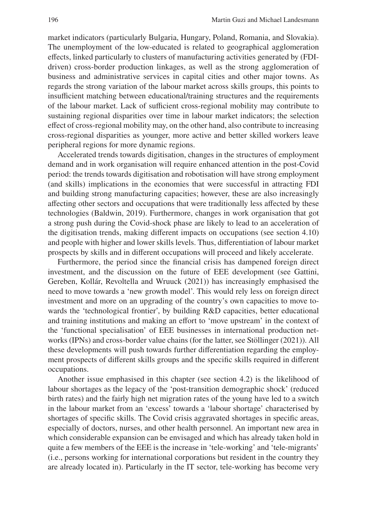market indicators (particularly Bulgaria, Hungary, Poland, Romania, and Slovakia). The unemployment of the low-educated is related to geographical agglomeration effects, linked particularly to clusters of manufacturing activities generated by (FDIdriven) cross-border production linkages, as well as the strong agglomeration of business and administrative services in capital cities and other major towns. As regards the strong variation of the labour market across skills groups, this points to insufficient matching between educational/training structures and the requirements of the labour market. Lack of sufficient cross-regional mobility may contribute to sustaining regional disparities over time in labour market indicators; the selection effect of cross-regional mobility may, on the other hand, also contribute to increasing cross-regional disparities as younger, more active and better skilled workers leave peripheral regions for more dynamic regions.

Accelerated trends towards digitisation, changes in the structures of employment demand and in work organisation will require enhanced attention in the post-Covid period: the trends towards digitisation and robotisation will have strong employment (and skills) implications in the economies that were successful in attracting FDI and building strong manufacturing capacities; however, these are also increasingly affecting other sectors and occupations that were traditionally less affected by these technologies (Baldwin, 2019). Furthermore, changes in work organisation that got a strong push during the Covid-shock phase are likely to lead to an acceleration of the digitisation trends, making different impacts on occupations (see section 4.10) and people with higher and lower skills levels. Thus, differentiation of labour market prospects by skills and in different occupations will proceed and likely accelerate.

Furthermore, the period since the financial crisis has dampened foreign direct investment, and the discussion on the future of EEE development (see Gattini, Gereben, Kollár, Revoltella and Wruuck (2021)) has increasingly emphasised the need to move towards a 'new growth model'. This would rely less on foreign direct investment and more on an upgrading of the country's own capacities to move towards the 'technological frontier', by building R&D capacities, better educational and training institutions and making an effort to 'move upstream' in the context of the 'functional specialisation' of EEE businesses in international production networks (IPNs) and cross-border value chains (for the latter, see Stöllinger (2021)). All these developments will push towards further differentiation regarding the employment prospects of different skills groups and the specific skills required in different occupations.

Another issue emphasised in this chapter (see section 4.2) is the likelihood of labour shortages as the legacy of the 'post-transition demographic shock' (reduced birth rates) and the fairly high net migration rates of the young have led to a switch in the labour market from an 'excess' towards a 'labour shortage' characterised by shortages of specific skills. The Covid crisis aggravated shortages in specific areas, especially of doctors, nurses, and other health personnel. An important new area in which considerable expansion can be envisaged and which has already taken hold in quite a few members of the EEE is the increase in 'tele-working' and 'tele-migrants' (i.e., persons working for international corporations but resident in the country they are already located in). Particularly in the IT sector, tele-working has become very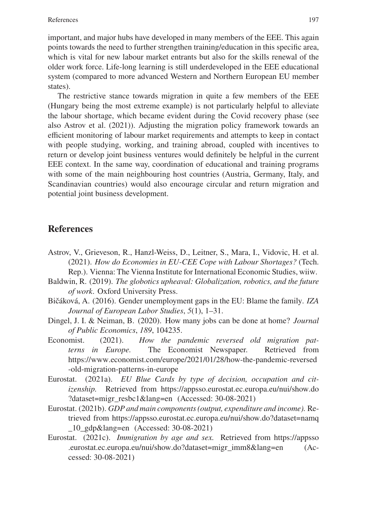important, and major hubs have developed in many members of the EEE. This again points towards the need to further strengthen training/education in this specific area, which is vital for new labour market entrants but also for the skills renewal of the older work force. Life-long learning is still underdeveloped in the EEE educational system (compared to more advanced Western and Northern European EU member states).

The restrictive stance towards migration in quite a few members of the EEE (Hungary being the most extreme example) is not particularly helpful to alleviate the labour shortage, which became evident during the Covid recovery phase (see also Astrov et al. (2021)). Adjusting the migration policy framework towards an efficient monitoring of labour market requirements and attempts to keep in contact with people studying, working, and training abroad, coupled with incentives to return or develop joint business ventures would definitely be helpful in the current EEE context. In the same way, coordination of educational and training programs with some of the main neighbouring host countries (Austria, Germany, Italy, and Scandinavian countries) would also encourage circular and return migration and potential joint business development.

#### **References**

- Astrov, V., Grieveson, R., Hanzl-Weiss, D., Leitner, S., Mara, I., Vidovic, H. et al. (2021). *How do Economies in EU-CEE Cope with Labour Shortages?* (Tech. Rep.). Vienna: The Vienna Institute for International Economic Studies, wiiw.
- Baldwin, R. (2019). *The globotics upheaval: Globalization, robotics, and the future of work*. Oxford University Press.
- Bičáková, A. (2016). Gender unemployment gaps in the EU: Blame the family. *IZA Journal of European Labor Studies*, *5*(1), 1–31.
- Dingel, J. I. & Neiman, B. (2020). How many jobs can be done at home? *Journal of Public Economics*, *189*, 104235.
- Economist. (2021). *How the pandemic reversed old migration patterns in Europe.* The Economist Newspaper. Retrieved from https://www.economist.com/europe/2021/01/28/how-the-pandemic-reversed -old-migration-patterns-in-europe
- Eurostat. (2021a). *EU Blue Cards by type of decision, occupation and citizenship.* Retrieved from https://appsso.eurostat.ec.europa.eu/nui/show.do ?dataset=migr\_resbc1&lang=en (Accessed: 30-08-2021)
- Eurostat. (2021b). *GDP and main components (output, expenditure and income).* Retrieved from https://appsso.eurostat.ec.europa.eu/nui/show.do?dataset=namq \_10\_gdp&lang=en (Accessed: 30-08-2021)
- Eurostat. (2021c). *Immigration by age and sex.* Retrieved from https://appsso .eurostat.ec.europa.eu/nui/show.do?dataset=migr\_imm8&lang=en (Accessed: 30-08-2021)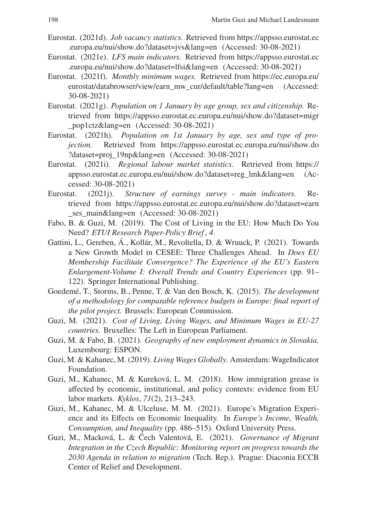- Eurostat. (2021d). *Job vacancy statistics.* Retrieved from https://appsso.eurostat.ec .europa.eu/nui/show.do?dataset=jvs&lang=en (Accessed: 30-08-2021)
- Eurostat. (2021e). *LFS main indicators.* Retrieved from https://appsso.eurostat.ec .europa.eu/nui/show.do?dataset=lfsi&lang=en (Accessed: 30-08-2021)
- Eurostat. (2021f). *Monthly minimum wages.* Retrieved from https://ec.europa.eu/ eurostat/databrowser/view/earn\_mw\_cur/default/table?lang=en (Accessed: 30-08-2021)
- Eurostat. (2021g). *Population on 1 January by age group, sex and citizenship.* Retrieved from https://appsso.eurostat.ec.europa.eu/nui/show.do?dataset=migr \_pop1ctz&lang=en (Accessed: 30-08-2021)
- Eurostat. (2021h). *Population on 1st January by age, sex and type of projection.* Retrieved from https://appsso.eurostat.ec.europa.eu/nui/show.do ?dataset=proj\_19np&lang=en (Accessed: 30-08-2021)
- Eurostat. (2021i). *Regional labour market statistics.* Retrieved from https:// appsso.eurostat.ec.europa.eu/nui/show.do?dataset=reg\_lmk&lang=en (Accessed: 30-08-2021)
- Eurostat. (2021j). *Structure of earnings survey main indicators.* Retrieved from https://appsso.eurostat.ec.europa.eu/nui/show.do?dataset=earn ses main&lang=en (Accessed: 30-08-2021)
- Fabo, B. & Guzi, M. (2019). The Cost of Living in the EU: How Much Do You Need? *ETUI Research Paper-Policy Brief* , *4*.
- Gattini, L., Gereben, Á., Kollár, M., Revoltella, D. & Wruuck, P. (2021). Towards a New Growth Model in CESEE: Three Challenges Ahead. In *Does EU Membership Facilitate Convergence? The Experience of the EU's Eastern Enlargement-Volume I: Overall Trends and Country Experiences* (pp. 91– 122). Springer International Publishing.
- Goedemé, T., Storms, B., Penne, T. & Van den Bosch, K. (2015). *The development of a methodology for comparable reference budgets in Europe: final report of the pilot project.* Brussels: European Commission.
- Guzi, M. (2021). *Cost of Living, Living Wages, and Minimum Wages in EU-27 countries.* Bruxelles: The Left in European Parliament.
- Guzi, M. & Fabo, B. (2021). *Geography of new employment dynamics in Slovakia.* Luxembourg: ESPON.
- Guzi, M. & Kahanec, M. (2019). *Living Wages Globally.* Amsterdam: WageIndicator Foundation.
- Guzi, M., Kahanec, M. & Kureková, L. M. (2018). How immigration grease is affected by economic, institutional, and policy contexts: evidence from EU labor markets. *Kyklos*, *71*(2), 213–243.
- Guzi, M., Kahanec, M. & Ulceluse, M. M. (2021). Europe's Migration Experience and its Effects on Economic Inequality. In *Europe's Income, Wealth, Consumption, and Inequality* (pp. 486–515). Oxford University Press.
- Guzi, M., Macková, L. & Čech Valentová, E. (2021). *Governance of Migrant Integration in the Czech Republic: Monitoring report on progress towards the 2030 Agenda in relation to migration* (Tech. Rep.). Prague: Diaconia ECCB Center of Relief and Development.